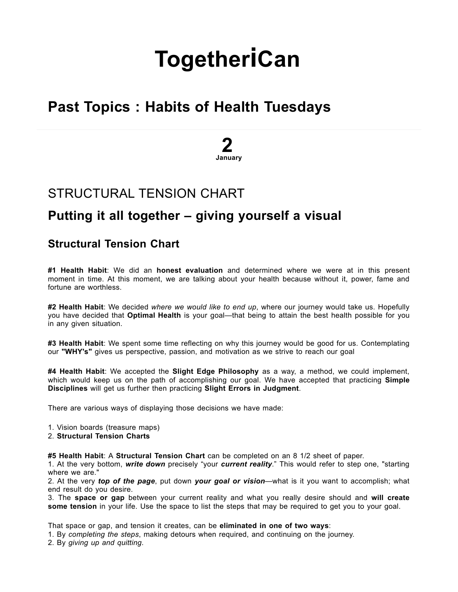# **[Together](http://togetherican.com/)iCan**

## Past Topics : Habits of Health Tuesdays

# 2 January

### [STRUCTURAL](http://togetherican.com/events-180102b-Structural-Tension-Chart.html) TENSION CHART

### Putting it all together – giving yourself a visual

#### Structural Tension Chart

#1 Health Habit: We did an honest evaluation and determined where we were at in this present moment in time. At this moment, we are talking about your health because without it, power, fame and fortune are worthless.

#2 Health Habit: We decided where we would like to end up, where our journey would take us. Hopefully you have decided that Optimal Health is your goal—that being to attain the best health possible for you in any given situation.

#3 Health Habit: We spent some time reflecting on why this journey would be good for us. Contemplating our "WHY's" gives us perspective, passion, and motivation as we strive to reach our goal

#4 Health Habit: We accepted the Slight Edge Philosophy as a way, a method, we could implement, which would keep us on the path of accomplishing our goal. We have accepted that practicing Simple Disciplines will get us further then practicing Slight Errors in Judgment.

There are various ways of displaying those decisions we have made:

- 1. Vision boards (treasure maps)
- 2. Structural Tension Charts

#5 Health Habit: A Structural Tension Chart can be completed on an 8 1/2 sheet of paper.

1. At the very bottom, write down precisely "your current reality." This would refer to step one, "starting where we are."

2. At the very top of the page, put down your goal or vision—what is it you want to accomplish; what end result do you desire.

3. The space or gap between your current reality and what you really desire should and will create some tension in your life. Use the space to list the steps that may be required to get you to your goal.

That space or gap, and tension it creates, can be eliminated in one of two ways:

1. By completing the steps, making detours when required, and continuing on the journey.

2. By giving up and quitting.